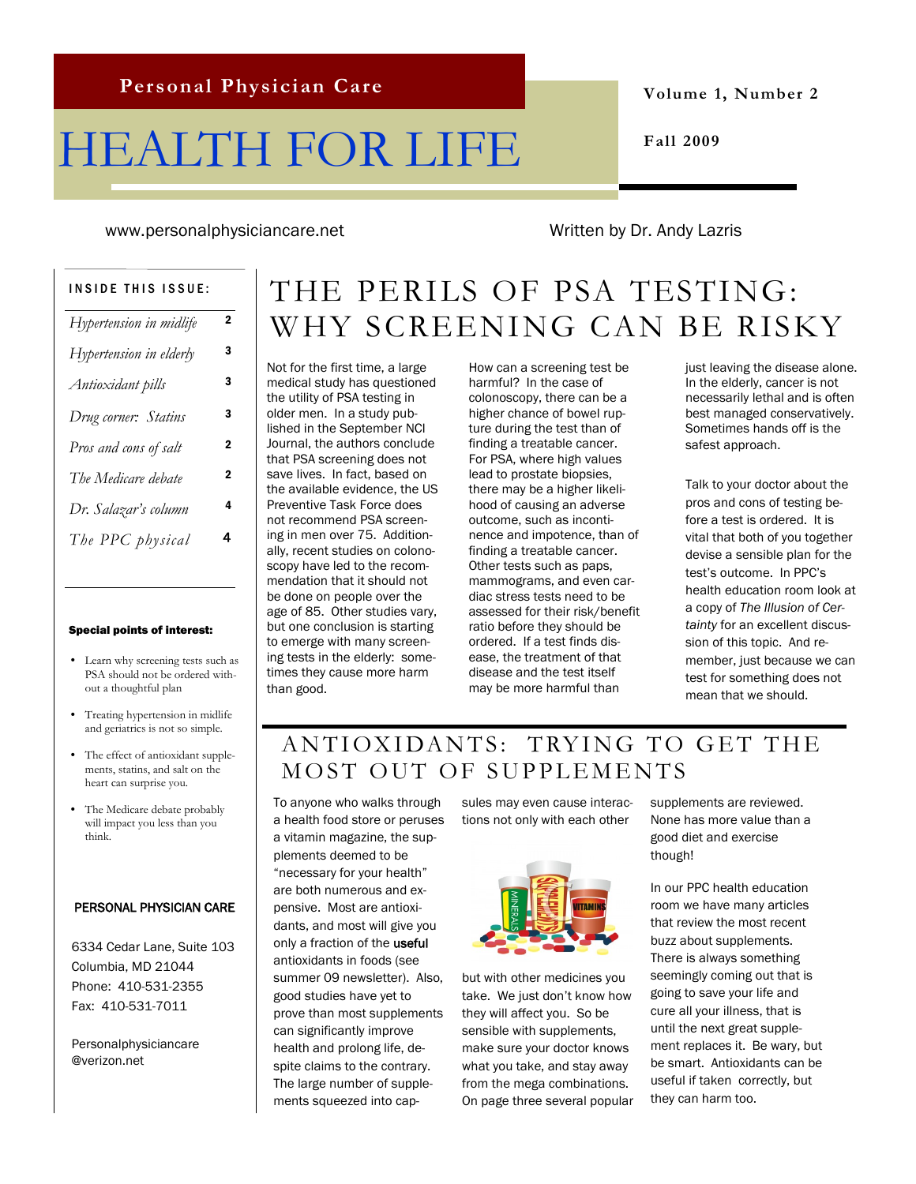# HEALTH FOR LIFE

**Volume 1, Number 2**

**Fall 2009**

www.personalphysiciancare.net Written by Dr. Andy Lazris

| <b>INSIDE THIS ISSUE:</b> |                |
|---------------------------|----------------|
| Hypertension in midlife   | 2              |
| Hypertension in elderly   | з              |
| Antioxidant pills         | 3              |
| Drug corner: Statins      | 3              |
| Pros and cons of salt     | $\overline{2}$ |
| The Medicare debate       | $\overline{2}$ |
| Dr. Salazar's column      | 4              |
| The PPC physical          | 4              |
|                           |                |

#### Special points of interest:

- Learn why screening tests such as PSA should not be ordered without a thoughtful plan
- Treating hypertension in midlife and geriatrics is not so simple.
- The effect of antioxidant supplements, statins, and salt on the heart can surprise you.
- The Medicare debate probably will impact you less than you think.

#### PERSONAL PHYSICIAN CARE

6334 Cedar Lane, Suite 103 Columbia, MD 21044 Phone: 410-531-2355 Fax: 410-531-7011

Personalphysiciancare @verizon.net

## THE PERILS OF PSA TESTING: WHY SCREENING CAN BE RISKY

Not for the first time, a large medical study has questioned the utility of PSA testing in older men. In a study published in the September NCI Journal, the authors conclude that PSA screening does not save lives. In fact, based on the available evidence, the US Preventive Task Force does not recommend PSA screening in men over 75. Additionally, recent studies on colonoscopy have led to the recommendation that it should not be done on people over the age of 85. Other studies vary, but one conclusion is starting to emerge with many screening tests in the elderly: sometimes they cause more harm than good.

How can a screening test be harmful? In the case of colonoscopy, there can be a higher chance of bowel rupture during the test than of finding a treatable cancer. For PSA, where high values lead to prostate biopsies, there may be a higher likelihood of causing an adverse outcome, such as incontinence and impotence, than of finding a treatable cancer. Other tests such as paps, mammograms, and even cardiac stress tests need to be assessed for their risk/benefit ratio before they should be ordered. If a test finds disease, the treatment of that disease and the test itself may be more harmful than

just leaving the disease alone. In the elderly, cancer is not necessarily lethal and is often best managed conservatively. Sometimes hands off is the safest approach.

Talk to your doctor about the pros and cons of testing before a test is ordered. It is vital that both of you together devise a sensible plan for the test's outcome. In PPC's health education room look at a copy of *The Illusion of Certainty* for an excellent discussion of this topic. And remember, just because we can test for something does not mean that we should.

## ANTIOXIDANTS: TRYING TO GET THE MOST OUT OF SUPPLEMENTS

To anyone who walks through a health food store or peruses a vitamin magazine, the supplements deemed to be "necessary for your health" are both numerous and expensive. Most are antioxidants, and most will give you only a fraction of the useful antioxidants in foods (see summer 09 newsletter). Also, good studies have yet to prove than most supplements can significantly improve health and prolong life, despite claims to the contrary. The large number of supplements squeezed into cap-

sules may even cause interactions not only with each other



but with other medicines you take. We just don't know how they will affect you. So be sensible with supplements, make sure your doctor knows what you take, and stay away from the mega combinations. On page three several popular supplements are reviewed. None has more value than a good diet and exercise though!

In our PPC health education room we have many articles that review the most recent buzz about supplements. There is always something seemingly coming out that is going to save your life and cure all your illness, that is until the next great supplement replaces it. Be wary, but be smart. Antioxidants can be useful if taken correctly, but they can harm too.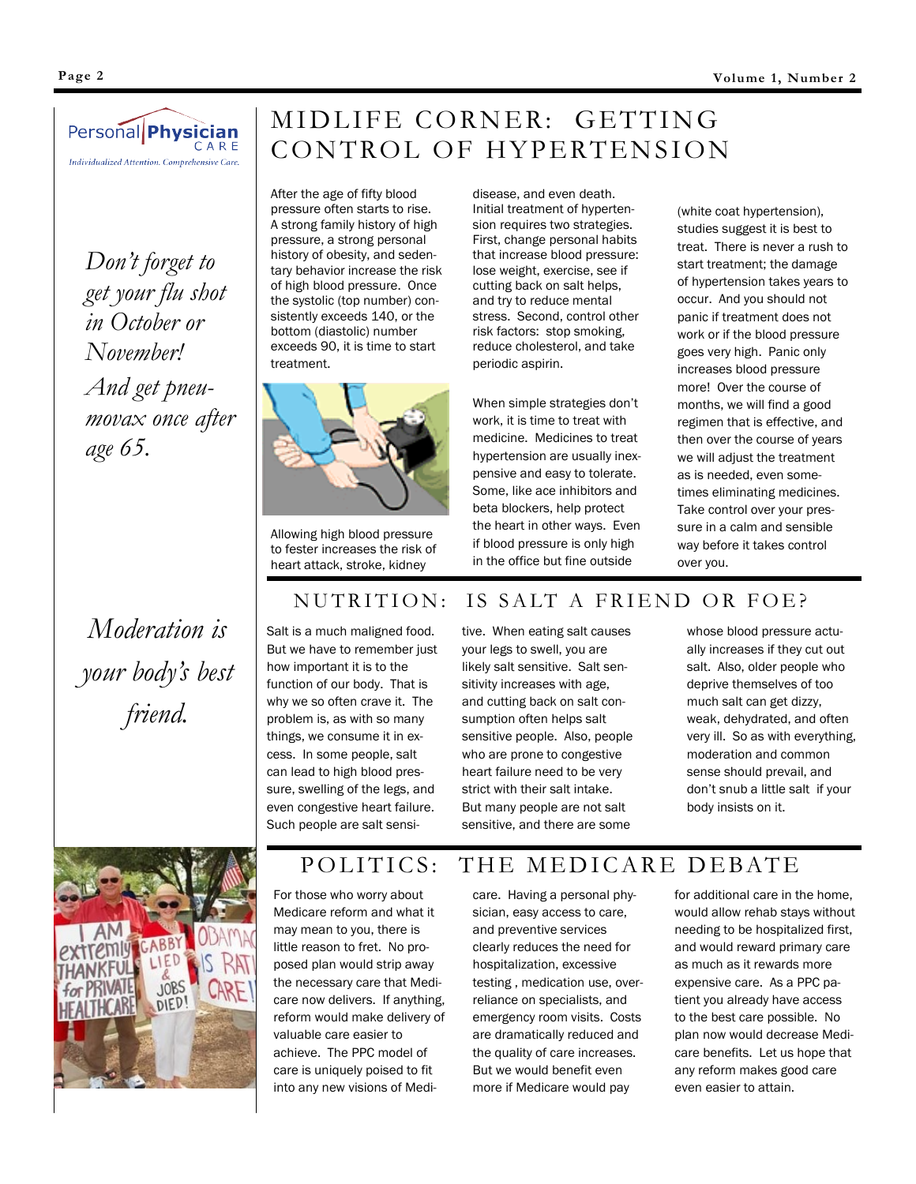

*Don't forget to get your flu shot in October or November! And get pneumovax once after age 65.*

## MIDLIFE CORNER: GETTING CONTROL OF HYPERTENSION

disease, and even death. Initial treatment of hypertension requires two strategies. First, change personal habits that increase blood pressure:

After the age of fifty blood pressure often starts to rise. A strong family history of high pressure, a strong personal history of obesity, and sedentary behavior increase the risk of high blood pressure. Once the systolic (top number) consistently exceeds 140, or the bottom (diastolic) number exceeds 90, it is time to start treatment.



Allowing high blood pressure to fester increases the risk of heart attack, stroke, kidney

lose weight, exercise, see if cutting back on salt helps, and try to reduce mental stress. Second, control other risk factors: stop smoking, reduce cholesterol, and take periodic aspirin. When simple strategies don't

work, it is time to treat with medicine. Medicines to treat hypertension are usually inexpensive and easy to tolerate. Some, like ace inhibitors and beta blockers, help protect the heart in other ways. Even if blood pressure is only high in the office but fine outside

(white coat hypertension), studies suggest it is best to treat. There is never a rush to start treatment; the damage of hypertension takes years to occur. And you should not panic if treatment does not work or if the blood pressure goes very high. Panic only increases blood pressure more! Over the course of months, we will find a good regimen that is effective, and then over the course of years we will adjust the treatment as is needed, even sometimes eliminating medicines. Take control over your pressure in a calm and sensible way before it takes control over you.

*Moderation is your body's best friend.*

Salt is a much maligned food. But we have to remember just how important it is to the function of our body. That is why we so often crave it. The problem is, as with so many things, we consume it in excess. In some people, salt can lead to high blood pressure, swelling of the legs, and even congestive heart failure. Such people are salt sensi-

tive. When eating salt causes your legs to swell, you are likely salt sensitive. Salt sensitivity increases with age, and cutting back on salt consumption often helps salt sensitive people. Also, people who are prone to congestive heart failure need to be very strict with their salt intake. But many people are not salt sensitive, and there are some

NUTRITION: IS SALT A FRIEND OR FOE?

whose blood pressure actually increases if they cut out salt. Also, older people who deprive themselves of too much salt can get dizzy, weak, dehydrated, and often very ill. So as with everything, moderation and common sense should prevail, and don't snub a little salt if your body insists on it.



## POLITICS: THE MEDICARE DEBATE

For those who worry about Medicare reform and what it may mean to you, there is little reason to fret. No proposed plan would strip away the necessary care that Medicare now delivers. If anything, reform would make delivery of valuable care easier to achieve. The PPC model of care is uniquely poised to fit into any new visions of Medi-

care. Having a personal physician, easy access to care, and preventive services clearly reduces the need for hospitalization, excessive testing , medication use, overreliance on specialists, and emergency room visits. Costs are dramatically reduced and the quality of care increases. But we would benefit even more if Medicare would pay

for additional care in the home, would allow rehab stays without needing to be hospitalized first, and would reward primary care as much as it rewards more expensive care. As a PPC patient you already have access to the best care possible. No plan now would decrease Medicare benefits. Let us hope that any reform makes good care even easier to attain.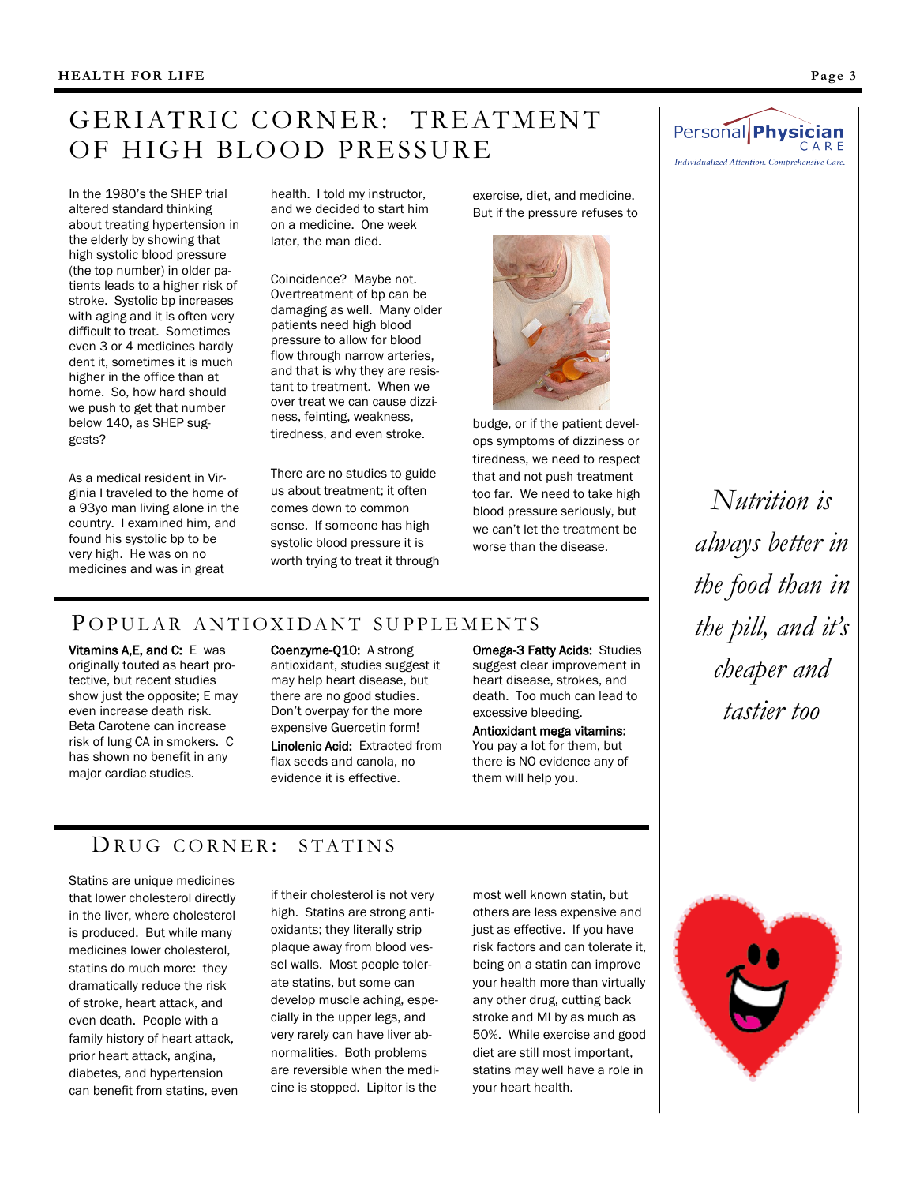## GERIATRIC CORNER: TREATMENT OF HIGH BLOOD PRESSURE

In the 1980's the SHEP trial altered standard thinking about treating hypertension in the elderly by showing that high systolic blood pressure (the top number) in older patients leads to a higher risk of stroke. Systolic bp increases with aging and it is often very difficult to treat. Sometimes even 3 or 4 medicines hardly dent it, sometimes it is much higher in the office than at home. So, how hard should we push to get that number below 140, as SHEP suggests?

As a medical resident in Virginia I traveled to the home of a 93yo man living alone in the country. I examined him, and found his systolic bp to be very high. He was on no medicines and was in great

health. I told my instructor, and we decided to start him on a medicine. One week later, the man died.

Coincidence? Maybe not. Overtreatment of bp can be damaging as well. Many older patients need high blood pressure to allow for blood flow through narrow arteries, and that is why they are resistant to treatment. When we over treat we can cause dizziness, feinting, weakness, tiredness, and even stroke.

There are no studies to guide us about treatment; it often comes down to common sense. If someone has high systolic blood pressure it is worth trying to treat it through exercise, diet, and medicine. But if the pressure refuses to



budge, or if the patient develops symptoms of dizziness or tiredness, we need to respect that and not push treatment too far. We need to take high blood pressure seriously, but we can't let the treatment be worse than the disease.

#### POPULAR ANTIOXIDANT SUPPLEMENTS

Vitamins A,E, and C: E was originally touted as heart protective, but recent studies show just the opposite; E may even increase death risk. Beta Carotene can increase risk of lung CA in smokers. C has shown no benefit in any major cardiac studies.

Coenzyme-Q10: A strong antioxidant, studies suggest it may help heart disease, but there are no good studies. Don't overpay for the more expensive Guercetin form! Linolenic Acid: Extracted from flax seeds and canola, no evidence it is effective.

Omega-3 Fatty Acids: Studies suggest clear improvement in heart disease, strokes, and death. Too much can lead to excessive bleeding.

Antioxidant mega vitamins: You pay a lot for them, but there is NO evidence any of them will help you.



*Nutrition is always better in the food than in the pill, and it's cheaper and tastier too*

#### DRUG CORNER: STATINS

Statins are unique medicines that lower cholesterol directly in the liver, where cholesterol is produced. But while many medicines lower cholesterol, statins do much more: they dramatically reduce the risk of stroke, heart attack, and even death. People with a family history of heart attack, prior heart attack, angina, diabetes, and hypertension can benefit from statins, even

if their cholesterol is not very high. Statins are strong antioxidants; they literally strip plaque away from blood vessel walls. Most people tolerate statins, but some can develop muscle aching, especially in the upper legs, and very rarely can have liver abnormalities. Both problems are reversible when the medicine is stopped. Lipitor is the

most well known statin, but others are less expensive and just as effective. If you have risk factors and can tolerate it, being on a statin can improve your health more than virtually any other drug, cutting back stroke and MI by as much as 50%. While exercise and good diet are still most important, statins may well have a role in your heart health.